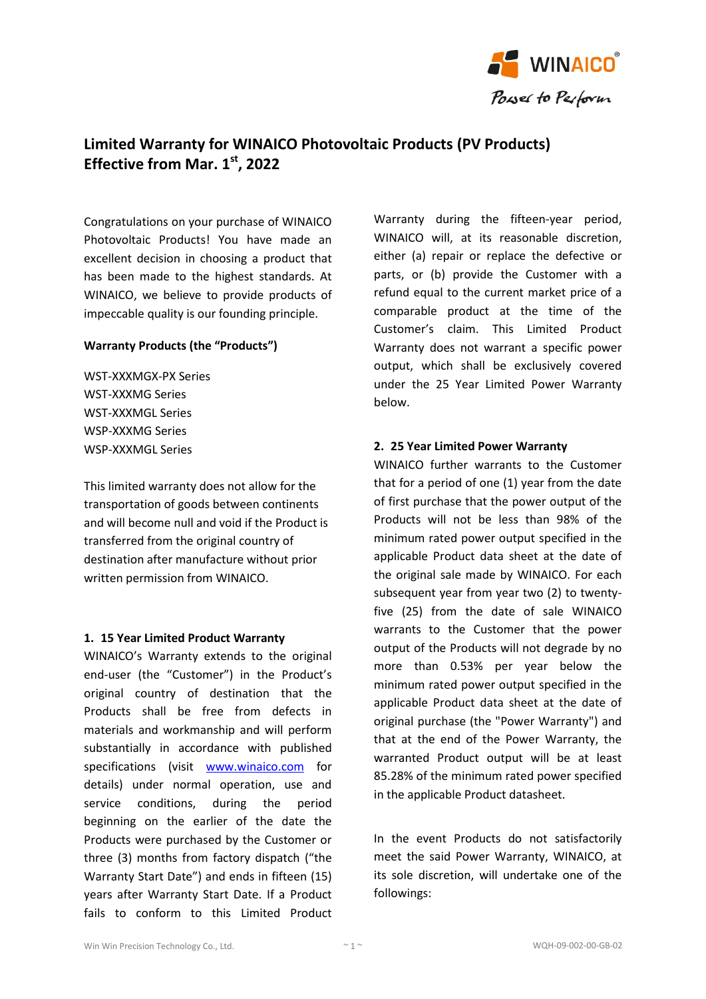

# **Limited Warranty for WINAICO Photovoltaic Products (PV Products) Effective from Mar. 1 st, 2022**

Congratulations on your purchase of WINAICO Photovoltaic Products! You have made an excellent decision in choosing a product that has been made to the highest standards. At WINAICO, we believe to provide products of impeccable quality is our founding principle.

## **Warranty Products (the "Products")**

WST-XXXMGX-PX Series WST-XXXMG Series WST-XXXMGL Series WSP-XXXMG Series WSP-XXXMGL Series

This limited warranty does not allow for the transportation of goods between continents and will become null and void if the Product is transferred from the original country of destination after manufacture without prior written permission from WINAICO.

## **1. 15 Year Limited Product Warranty**

WINAICO's Warranty extends to the original end-user (the "Customer") in the Product's original country of destination that the Products shall be free from defects in materials and workmanship and will perform substantially in accordance with published specifications (visit [www.winaico.com](http://www.winaico.com/) for details) under normal operation, use and service conditions, during the period beginning on the earlier of the date the Products were purchased by the Customer or three (3) months from factory dispatch ("the Warranty Start Date") and ends in fifteen (15) years after Warranty Start Date. If a Product fails to conform to this Limited Product Warranty during the fifteen-year period, WINAICO will, at its reasonable discretion, either (a) repair or replace the defective or parts, or (b) provide the Customer with a refund equal to the current market price of a comparable product at the time of the Customer's claim. This Limited Product Warranty does not warrant a specific power output, which shall be exclusively covered under the 25 Year Limited Power Warranty below.

## **2. 25 Year Limited Power Warranty**

WINAICO further warrants to the Customer that for a period of one (1) year from the date of first purchase that the power output of the Products will not be less than 98% of the minimum rated power output specified in the applicable Product data sheet at the date of the original sale made by WINAICO. For each subsequent year from year two (2) to twentyfive (25) from the date of sale WINAICO warrants to the Customer that the power output of the Products will not degrade by no more than 0.53% per year below the minimum rated power output specified in the applicable Product data sheet at the date of original purchase (the "Power Warranty") and that at the end of the Power Warranty, the warranted Product output will be at least 85.28% of the minimum rated power specified in the applicable Product datasheet.

In the event Products do not satisfactorily meet the said Power Warranty, WINAICO, at its sole discretion, will undertake one of the followings: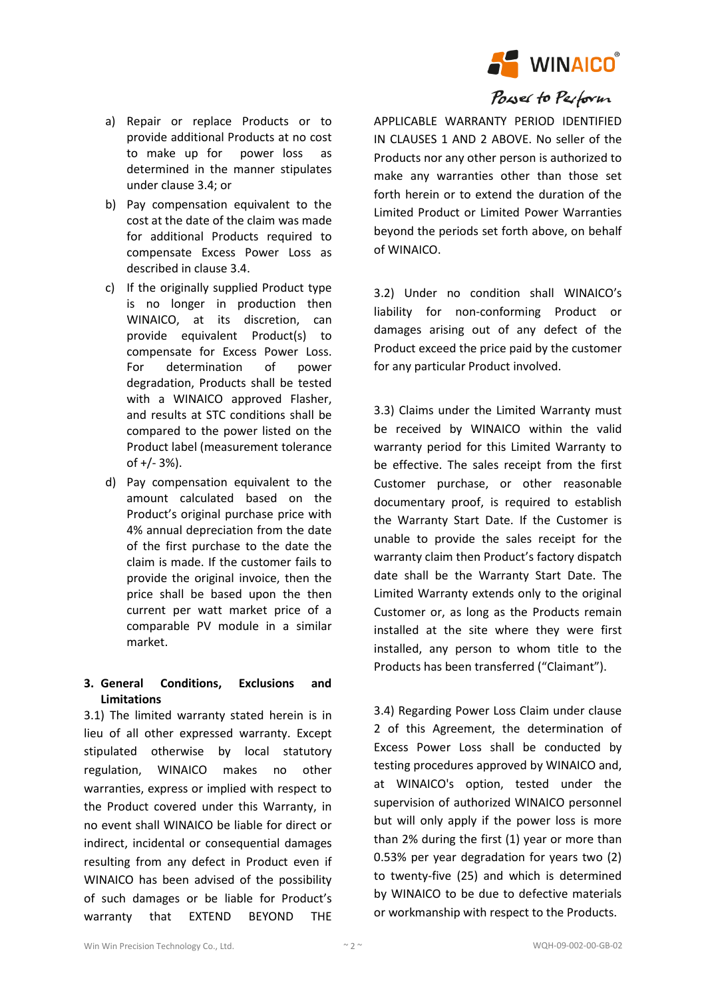

# Power to Perform

- a) Repair or replace Products or to provide additional Products at no cost to make up for power loss as determined in the manner stipulates under clause 3.4; or
- b) Pay compensation equivalent to the cost at the date of the claim was made for additional Products required to compensate Excess Power Loss as described in clause 3.4.
- c) If the originally supplied Product type is no longer in production then WINAICO, at its discretion, can provide equivalent Product(s) to compensate for Excess Power Loss. For determination of power degradation, Products shall be tested with a WINAICO approved Flasher. and results at STC conditions shall be compared to the power listed on the Product label (measurement tolerance of +/- 3%).
- d) Pay compensation equivalent to the amount calculated based on the Product's original purchase price with 4% annual depreciation from the date of the first purchase to the date the claim is made. If the customer fails to provide the original invoice, then the price shall be based upon the then current per watt market price of a comparable PV module in a similar market.

## **3. General Conditions, Exclusions and Limitations**

3.1) The limited warranty stated herein is in lieu of all other expressed warranty. Except stipulated otherwise by local statutory regulation, WINAICO makes no other warranties, express or implied with respect to the Product covered under this Warranty, in no event shall WINAICO be liable for direct or indirect, incidental or consequential damages resulting from any defect in Product even if WINAICO has been advised of the possibility of such damages or be liable for Product's warranty that EXTEND BEYOND THE

APPLICABLE WARRANTY PERIOD IDENTIFIED IN CLAUSES 1 AND 2 ABOVE. No seller of the Products nor any other person is authorized to make any warranties other than those set forth herein or to extend the duration of the Limited Product or Limited Power Warranties beyond the periods set forth above, on behalf of WINAICO.

3.2) Under no condition shall WINAICO's liability for non-conforming Product or damages arising out of any defect of the Product exceed the price paid by the customer for any particular Product involved.

3.3) Claims under the Limited Warranty must be received by WINAICO within the valid warranty period for this Limited Warranty to be effective. The sales receipt from the first Customer purchase, or other reasonable documentary proof, is required to establish the Warranty Start Date. If the Customer is unable to provide the sales receipt for the warranty claim then Product's factory dispatch date shall be the Warranty Start Date. The Limited Warranty extends only to the original Customer or, as long as the Products remain installed at the site where they were first installed, any person to whom title to the Products has been transferred ("Claimant").

3.4) Regarding Power Loss Claim under clause 2 of this Agreement, the determination of Excess Power Loss shall be conducted by testing procedures approved by WINAICO and, at WINAICO's option, tested under the supervision of authorized WINAICO personnel but will only apply if the power loss is more than 2% during the first (1) year or more than 0.53% per year degradation for years two (2) to twenty-five (25) and which is determined by WINAICO to be due to defective materials or workmanship with respect to the Products.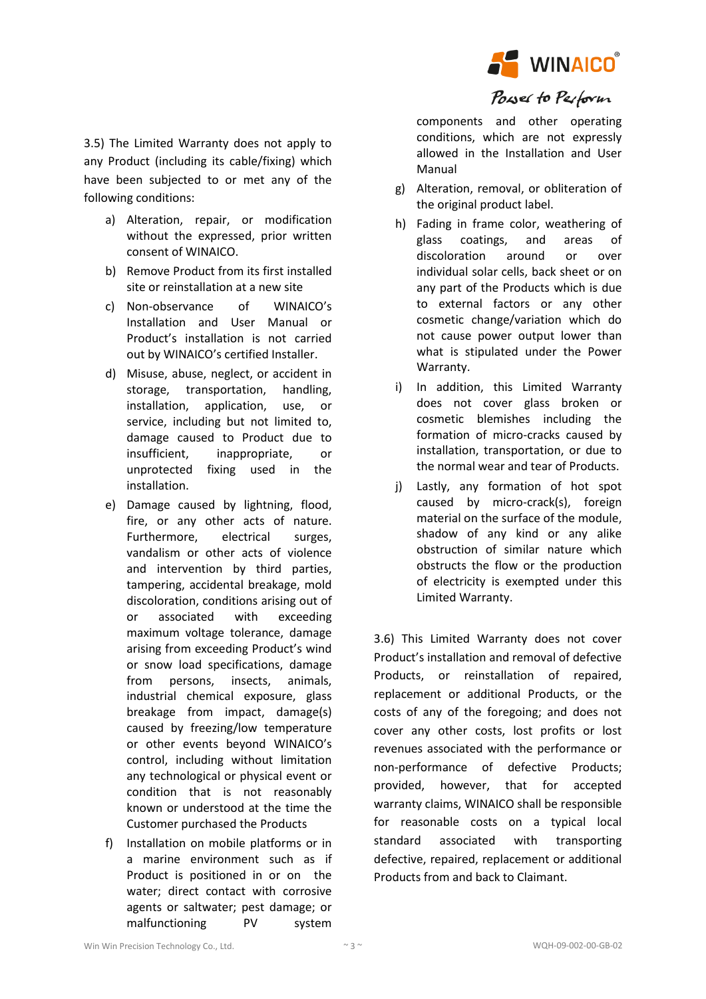

3.5) The Limited Warranty does not apply to any Product (including its cable/fixing) which have been subjected to or met any of the following conditions:

- a) Alteration, repair, or modification without the expressed, prior written consent of WINAICO.
- b) Remove Product from its first installed site or reinstallation at a new site
- c) Non-observance of WINAICO's Installation and User Manual or Product's installation is not carried out by WINAICO's certified Installer.
- d) Misuse, abuse, neglect, or accident in storage, transportation, handling, installation, application, use, or service, including but not limited to, damage caused to Product due to insufficient, inappropriate, or unprotected fixing used in the installation.
- e) Damage caused by lightning, flood, fire, or any other acts of nature. Furthermore, electrical surges, vandalism or other acts of violence and intervention by third parties, tampering, accidental breakage, mold discoloration, conditions arising out of or associated with exceeding maximum voltage tolerance, damage arising from exceeding Product's wind or snow load specifications, damage from persons, insects, animals, industrial chemical exposure, glass breakage from impact, damage(s) caused by freezing/low temperature or other events beyond WINAICO's control, including without limitation any technological or physical event or condition that is not reasonably known or understood at the time the Customer purchased the Products
- f) Installation on mobile platforms or in a marine environment such as if Product is positioned in or on the water; direct contact with corrosive agents or saltwater; pest damage; or malfunctioning PV system

components and other operating conditions, which are not expressly allowed in the Installation and User Manual

- g) Alteration, removal, or obliteration of the original product label.
- h) Fading in frame color, weathering of glass coatings, and areas of discoloration around or over individual solar cells, back sheet or on any part of the Products which is due to external factors or any other cosmetic change/variation which do not cause power output lower than what is stipulated under the Power Warranty.
- i) In addition, this Limited Warranty does not cover glass broken or cosmetic blemishes including the formation of micro-cracks caused by installation, transportation, or due to the normal wear and tear of Products.
- j) Lastly, any formation of hot spot caused by micro-crack(s), foreign material on the surface of the module, shadow of any kind or any alike obstruction of similar nature which obstructs the flow or the production of electricity is exempted under this Limited Warranty.

3.6) This Limited Warranty does not cover Product's installation and removal of defective Products, or reinstallation of repaired, replacement or additional Products, or the costs of any of the foregoing; and does not cover any other costs, lost profits or lost revenues associated with the performance or non-performance of defective Products; provided, however, that for accepted warranty claims, WINAICO shall be responsible for reasonable costs on a typical local standard associated with transporting defective, repaired, replacement or additional Products from and back to Claimant.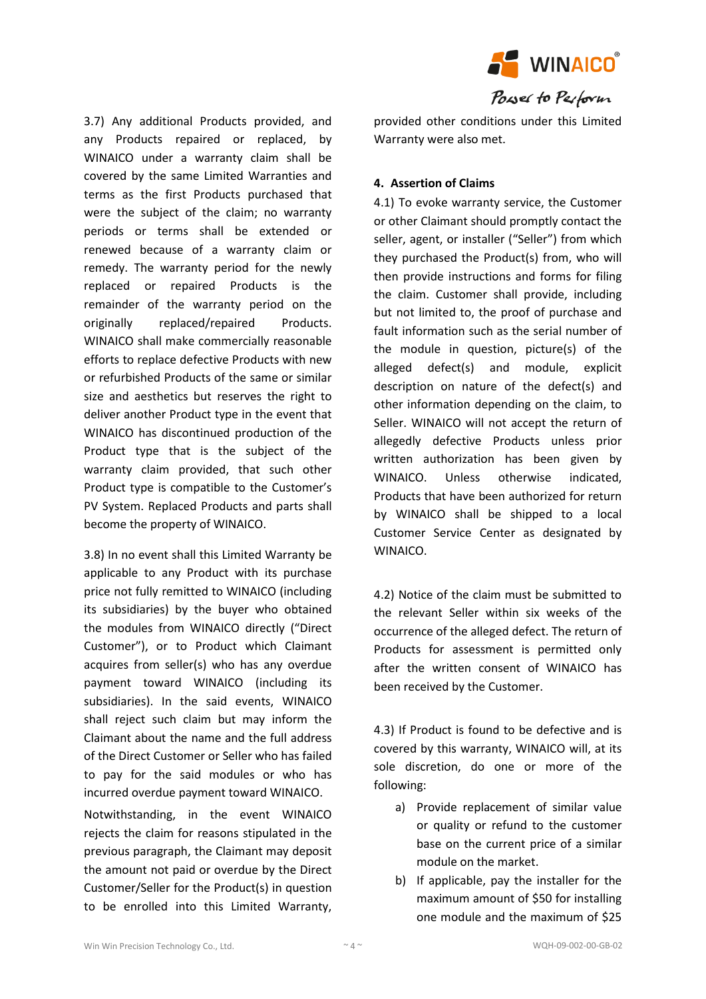

3.7) Any additional Products provided, and any Products repaired or replaced, by WINAICO under a warranty claim shall be covered by the same Limited Warranties and terms as the first Products purchased that were the subject of the claim; no warranty periods or terms shall be extended or renewed because of a warranty claim or remedy. The warranty period for the newly replaced or repaired Products is the remainder of the warranty period on the originally replaced/repaired Products. WINAICO shall make commercially reasonable efforts to replace defective Products with new or refurbished Products of the same or similar size and aesthetics but reserves the right to deliver another Product type in the event that WINAICO has discontinued production of the Product type that is the subject of the warranty claim provided, that such other Product type is compatible to the Customer's PV System. Replaced Products and parts shall become the property of WINAICO.

3.8) In no event shall this Limited Warranty be applicable to any Product with its purchase price not fully remitted to WINAICO (including its subsidiaries) by the buyer who obtained the modules from WINAICO directly ("Direct Customer"), or to Product which Claimant acquires from seller(s) who has any overdue payment toward WINAICO (including its subsidiaries). In the said events, WINAICO shall reject such claim but may inform the Claimant about the name and the full address of the Direct Customer or Seller who has failed to pay for the said modules or who has incurred overdue payment toward WINAICO.

Notwithstanding, in the event WINAICO rejects the claim for reasons stipulated in the previous paragraph, the Claimant may deposit the amount not paid or overdue by the Direct Customer/Seller for the Product(s) in question to be enrolled into this Limited Warranty,

provided other conditions under this Limited Warranty were also met.

## **4. Assertion of Claims**

4.1) To evoke warranty service, the Customer or other Claimant should promptly contact the seller, agent, or installer ("Seller") from which they purchased the Product(s) from, who will then provide instructions and forms for filing the claim. Customer shall provide, including but not limited to, the proof of purchase and fault information such as the serial number of the module in question, picture(s) of the alleged defect(s) and module, explicit description on nature of the defect(s) and other information depending on the claim, to Seller. WINAICO will not accept the return of allegedly defective Products unless prior written authorization has been given by WINAICO. Unless otherwise indicated, Products that have been authorized for return by WINAICO shall be shipped to a local Customer Service Center as designated by WINAICO.

4.2) Notice of the claim must be submitted to the relevant Seller within six weeks of the occurrence of the alleged defect. The return of Products for assessment is permitted only after the written consent of WINAICO has been received by the Customer.

4.3) If Product is found to be defective and is covered by this warranty, WINAICO will, at its sole discretion, do one or more of the following:

- a) Provide replacement of similar value or quality or refund to the customer base on the current price of a similar module on the market.
- b) If applicable, pay the installer for the maximum amount of \$50 for installing one module and the maximum of \$25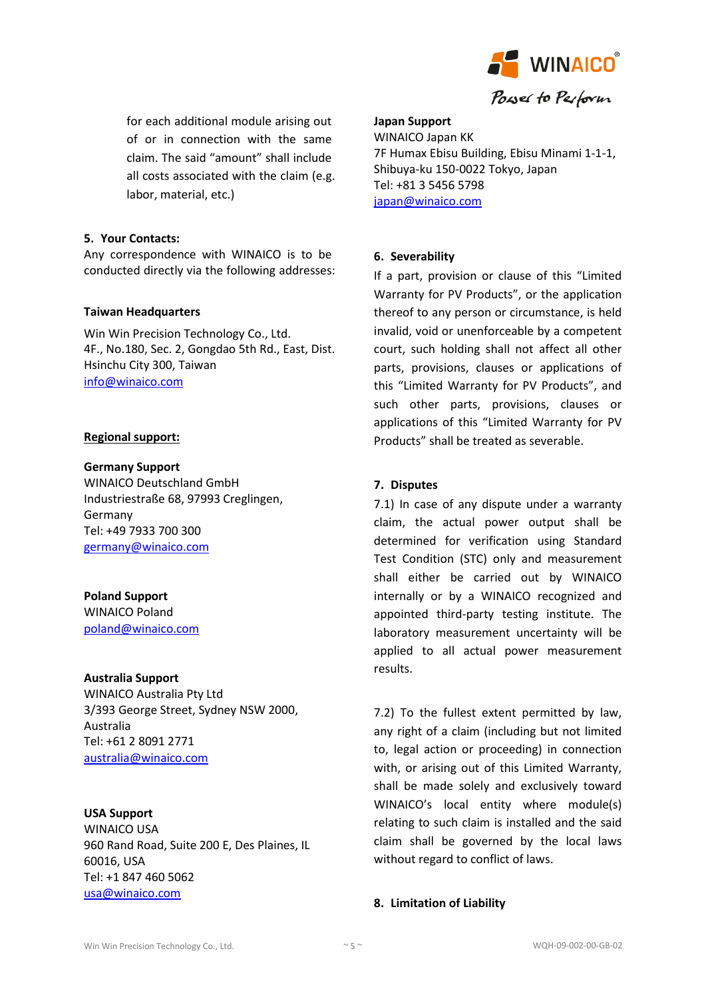

for each additional module arising out of or in connection with the same claim. The said "amount" shall include all costs associated with the claim (e.g. labor, material, etc.)

#### **5. Your Contacts:**

Any correspondence with WINAICO is to be conducted directly via the following addresses:

#### **Taiwan Headquarters**

Win Win Precision Technology Co., Ltd. 4F., No.180, Sec. 2, Gongdao 5th Rd., East, Dist. Hsinchu City 300, Taiwan [info@winaico.com](mailto:info@winaico.com)

#### **Regional support:**

#### **Germany Support**

WINAICO Deutschland GmbH Industriestraße 68, 97993 Creglingen, Germany Tel: +49 7933 700 300 [germany@winaico.com](mailto:germany@winaico.com)

## **Poland Support**

WINAICO Poland [poland@winaico.com](mailto:poland@winaico.com)

#### **Australia Support**

WINAICO Australia Pty Ltd 3/393 George Street, Sydney NSW 2000, Australia Tel: +61 2 8091 2771 [australia@winaico.com](mailto:australia@winaico.com)

## **USA Support**

WINAICO USA 960 Rand Road, Suite 200 E, Des Plaines, IL 60016, USA Tel: +1 847 460 5062 [usa@winaico.com](mailto:usa@winaico.com)

#### **Japan Support**

WINAICO Japan KK 7F Humax Ebisu Building, Ebisu Minami 1-1-1, Shibuya-ku 150-0022 Tokyo, Japan Tel: +81 3 5456 5798 [japan@winaico.com](mailto:usa@winaico.com)

## **6. Severability**

If a part, provision or clause of this "Limited Warranty for PV Products", or the application thereof to any person or circumstance, is held invalid, void or unenforceable by a competent court, such holding shall not affect all other parts, provisions, clauses or applications of this "Limited Warranty for PV Products", and such other parts, provisions, clauses or applications of this "Limited Warranty for PV Products" shall be treated as severable.

## **7. Disputes**

7.1) In case of any dispute under a warranty claim, the actual power output shall be determined for verification using Standard Test Condition (STC) only and measurement shall either be carried out by WINAICO internally or by a WINAICO recognized and appointed third-party testing institute. The laboratory measurement uncertainty will be applied to all actual power measurement results.

7.2) To the fullest extent permitted by law, any right of a claim (including but not limited to, legal action or proceeding) in connection with, or arising out of this Limited Warranty, shall be made solely and exclusively toward WINAICO's local entity where module(s) relating to such claim is installed and the said claim shall be governed by the local laws without regard to conflict of laws.

## **8. Limitation of Liability**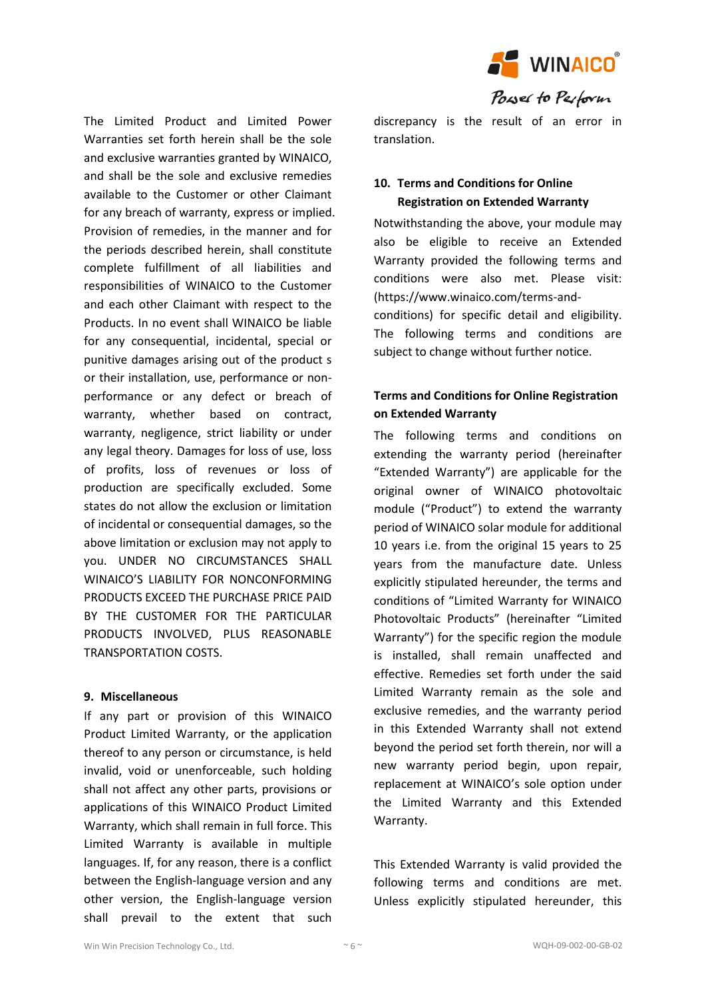

The Limited Product and Limited Power Warranties set forth herein shall be the sole and exclusive warranties granted by WINAICO, and shall be the sole and exclusive remedies available to the Customer or other Claimant for any breach of warranty, express or implied. Provision of remedies, in the manner and for the periods described herein, shall constitute complete fulfillment of all liabilities and responsibilities of WINAICO to the Customer and each other Claimant with respect to the Products. In no event shall WINAICO be liable for any consequential, incidental, special or punitive damages arising out of the product s or their installation, use, performance or nonperformance or any defect or breach of warranty, whether based on contract, warranty, negligence, strict liability or under any legal theory. Damages for loss of use, loss of profits, loss of revenues or loss of production are specifically excluded. Some states do not allow the exclusion or limitation of incidental or consequential damages, so the above limitation or exclusion may not apply to you. UNDER NO CIRCUMSTANCES SHALL WINAICO'S LIABILITY FOR NONCONFORMING PRODUCTS EXCEED THE PURCHASE PRICE PAID BY THE CUSTOMER FOR THE PARTICULAR PRODUCTS INVOLVED, PLUS REASONABLE TRANSPORTATION COSTS.

#### **9. Miscellaneous**

If any part or provision of this WINAICO Product Limited Warranty, or the application thereof to any person or circumstance, is held invalid, void or unenforceable, such holding shall not affect any other parts, provisions or applications of this WINAICO Product Limited Warranty, which shall remain in full force. This Limited Warranty is available in multiple languages. If, for any reason, there is a conflict between the English-language version and any other version, the English-language version shall prevail to the extent that such

discrepancy is the result of an error in translation.

# **10. Terms and Conditions for Online Registration on Extended Warranty**

Notwithstanding the above, your module may also be eligible to receive an Extended Warranty provided the following terms and conditions were also met. Please visit: (https://www.winaico.com/terms-andconditions) for specific detail and eligibility. The following terms and conditions are subject to change without further notice.

# **Terms and Conditions for Online Registration on Extended Warranty**

The following terms and conditions on extending the warranty period (hereinafter "Extended Warranty") are applicable for the original owner of WINAICO photovoltaic module ("Product") to extend the warranty period of WINAICO solar module for additional 10 years i.e. from the original 15 years to 25 years from the manufacture date. Unless explicitly stipulated hereunder, the terms and conditions of "Limited Warranty for WINAICO Photovoltaic Products" (hereinafter "Limited Warranty") for the specific region the module is installed, shall remain unaffected and effective. Remedies set forth under the said Limited Warranty remain as the sole and exclusive remedies, and the warranty period in this Extended Warranty shall not extend beyond the period set forth therein, nor will a new warranty period begin, upon repair, replacement at WINAICO's sole option under the Limited Warranty and this Extended Warranty.

This Extended Warranty is valid provided the following terms and conditions are met. Unless explicitly stipulated hereunder, this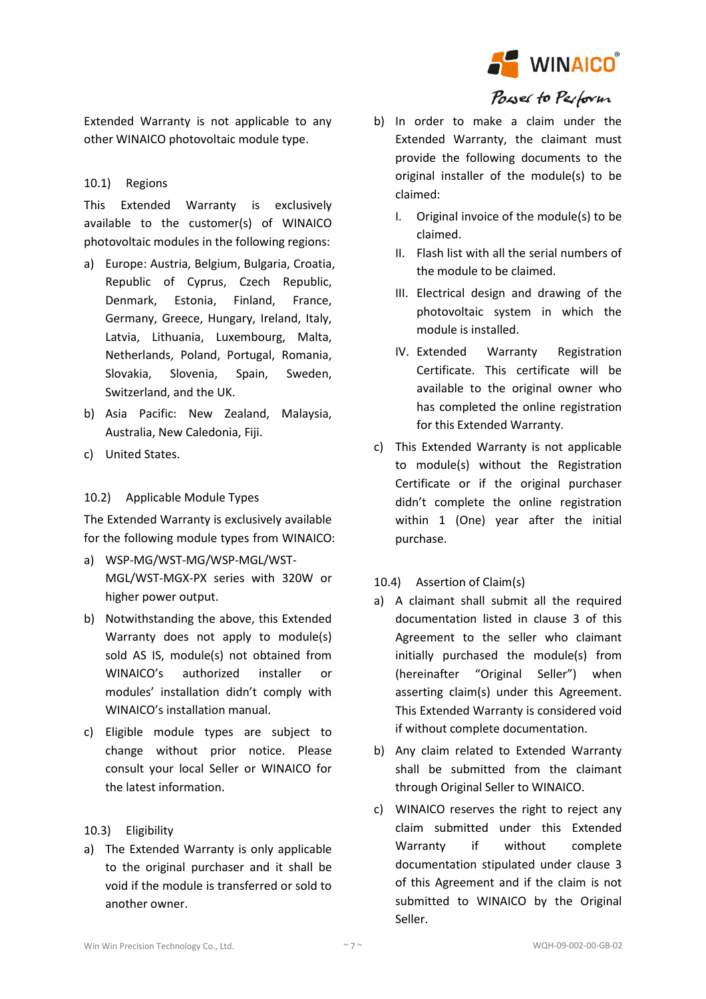

Extended Warranty is not applicable to any other WINAICO photovoltaic module type.

## 10.1) Regions

This Extended Warranty is exclusively available to the customer(s) of WINAICO photovoltaic modules in the following regions:

- a) Europe: Austria, Belgium, Bulgaria, Croatia, Republic of Cyprus, Czech Republic, Denmark, Estonia, Finland, France, Germany, Greece, Hungary, Ireland, Italy, Latvia, Lithuania, Luxembourg, Malta, Netherlands, Poland, Portugal, Romania, Slovakia, Slovenia, Spain, Sweden, Switzerland, and the UK.
- b) Asia Pacific: New Zealand, Malaysia, Australia, New Caledonia, Fiji.
- c) United States.

## 10.2) Applicable Module Types

The Extended Warranty is exclusively available for the following module types from WINAICO:

- a) WSP-MG/WST-MG/WSP-MGL/WST-MGL/WST-MGX-PX series with 320W or higher power output.
- b) Notwithstanding the above, this Extended Warranty does not apply to module(s) sold AS IS, module(s) not obtained from WINAICO's authorized installer or modules' installation didn't comply with WINAICO's installation manual.
- c) Eligible module types are subject to change without prior notice. Please consult your local Seller or WINAICO for the latest information.

## 10.3) Eligibility

a) The Extended Warranty is only applicable to the original purchaser and it shall be void if the module is transferred or sold to another owner.

- b) In order to make a claim under the Extended Warranty, the claimant must provide the following documents to the original installer of the module(s) to be claimed:
	- I. Original invoice of the module(s) to be claimed.
	- II. Flash list with all the serial numbers of the module to be claimed.
	- III. Electrical design and drawing of the photovoltaic system in which the module is installed.
	- IV. Extended Warranty Registration Certificate. This certificate will be available to the original owner who has completed the online registration for this Extended Warranty.
- c) This Extended Warranty is not applicable to module(s) without the Registration Certificate or if the original purchaser didn't complete the online registration within 1 (One) year after the initial purchase.
- 10.4) Assertion of Claim(s)
- a) A claimant shall submit all the required documentation listed in clause 3 of this Agreement to the seller who claimant initially purchased the module(s) from (hereinafter "Original Seller") when asserting claim(s) under this Agreement. This Extended Warranty is considered void if without complete documentation.
- b) Any claim related to Extended Warranty shall be submitted from the claimant through Original Seller to WINAICO.
- c) WINAICO reserves the right to reject any claim submitted under this Extended Warranty if without complete documentation stipulated under clause 3 of this Agreement and if the claim is not submitted to WINAICO by the Original Seller.